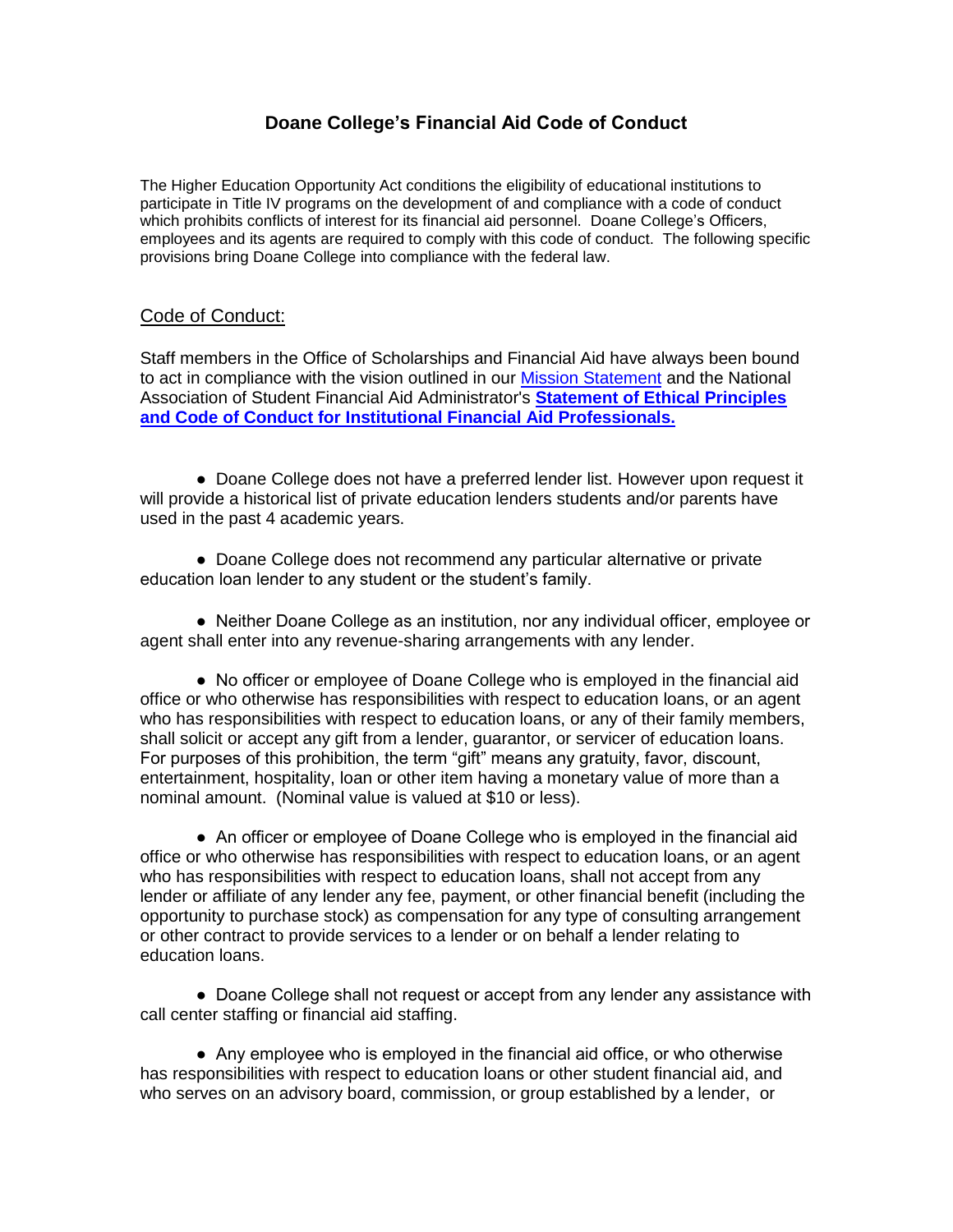## **Doane College's Financial Aid Code of Conduct**

The Higher Education Opportunity Act conditions the eligibility of educational institutions to participate in Title IV programs on the development of and compliance with a code of conduct which prohibits conflicts of interest for its financial aid personnel. Doane College's Officers, employees and its agents are required to comply with this code of conduct. The following specific provisions bring Doane College into compliance with the federal law.

## Code of Conduct:

Staff members in the Office of Scholarships and Financial Aid have always been bound to act in compliance with the vision outlined in our [Mission Statement](http://www.loyno.edu/financialaid/our-mission) and the National Association of Student Financial Aid Administrator's **[Statement of Ethical Principles](http://www.loyno.edu/financialaid/system/files/codeofconduct%5B1%5D.pdf)  [and Code of Conduct for Institutional Financial Aid Professionals.](http://www.loyno.edu/financialaid/system/files/codeofconduct%5B1%5D.pdf)**

● Doane College does not have a preferred lender list. However upon request it will provide a historical list of private education lenders students and/or parents have used in the past 4 academic years.

**●** Doane College does not recommend any particular alternative or private education loan lender to any student or the student's family.

● Neither Doane College as an institution, nor any individual officer, employee or agent shall enter into any revenue-sharing arrangements with any lender.

● No officer or employee of Doane College who is employed in the financial aid office or who otherwise has responsibilities with respect to education loans, or an agent who has responsibilities with respect to education loans, or any of their family members, shall solicit or accept any gift from a lender, guarantor, or servicer of education loans. For purposes of this prohibition, the term "gift" means any gratuity, favor, discount, entertainment, hospitality, loan or other item having a monetary value of more than a nominal amount. (Nominal value is valued at \$10 or less).

● An officer or employee of Doane College who is employed in the financial aid office or who otherwise has responsibilities with respect to education loans, or an agent who has responsibilities with respect to education loans, shall not accept from any lender or affiliate of any lender any fee, payment, or other financial benefit (including the opportunity to purchase stock) as compensation for any type of consulting arrangement or other contract to provide services to a lender or on behalf a lender relating to education loans.

• Doane College shall not request or accept from any lender any assistance with call center staffing or financial aid staffing.

● Any employee who is employed in the financial aid office, or who otherwise has responsibilities with respect to education loans or other student financial aid, and who serves on an advisory board, commission, or group established by a lender, or